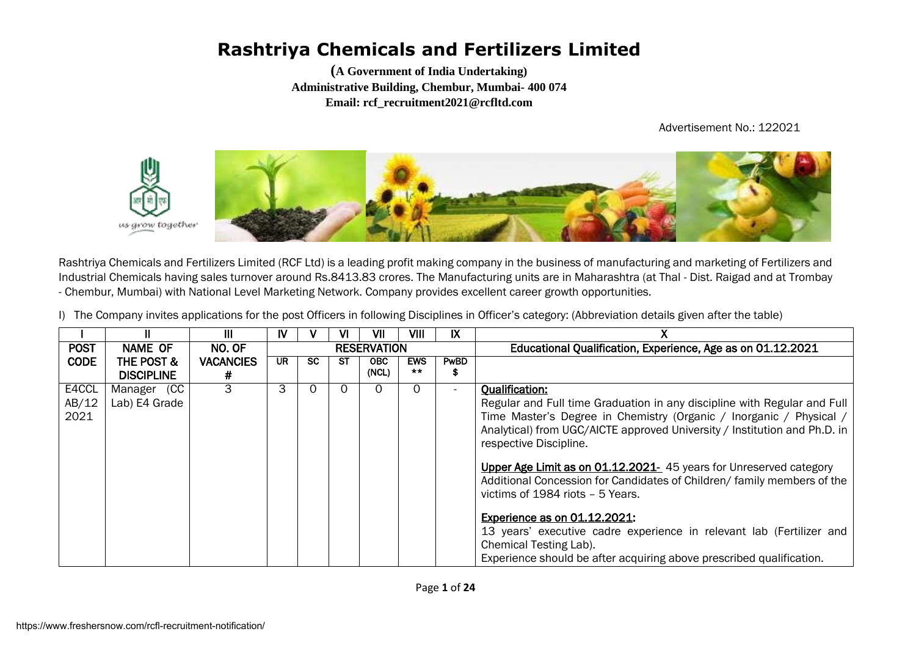**(A Government of India Undertaking) Administrative Building, Chembur, Mumbai- 400 074 Email: rcf\_recruitment2021@rcfltd.com**

Advertisement No.: 122021



Rashtriya Chemicals and Fertilizers Limited (RCF Ltd) is a leading profit making company in the business of manufacturing and marketing of Fertilizers and Industrial Chemicals having sales turnover around Rs.8413.83 crores. The Manufacturing units are in Maharashtra (at Thal - Dist. Raigad and at Trombay - Chembur, Mumbai) with National Level Marketing Network. Company provides excellent career growth opportunities.

I) The Company invites applications for the post Officers in following Disciplines in Officer's category: (Abbreviation details given after the table)

|             |                   | Ш                | IV |     | VI | VII                | VIII                | IX                       |                                                                           |
|-------------|-------------------|------------------|----|-----|----|--------------------|---------------------|--------------------------|---------------------------------------------------------------------------|
| <b>POST</b> | NAME OF           | NO. OF           |    |     |    | <b>RESERVATION</b> |                     |                          | Educational Qualification, Experience, Age as on 01.12.2021               |
| <b>CODE</b> | THE POST &        | <b>VACANCIES</b> | UR | SC. | SТ | <b>OBC</b>         | <b>EWS</b><br>$***$ | <b>PwBD</b>              |                                                                           |
|             | <b>DISCIPLINE</b> | #                |    |     |    | (NCL)              |                     | Ф                        |                                                                           |
| E4CCL       | Manager (CC       | 3                | 3  | Ω   |    | O                  | $\Omega$            | $\overline{\phantom{a}}$ | <b>Qualification:</b>                                                     |
| AB/12       | Lab) E4 Grade     |                  |    |     |    |                    |                     |                          | Regular and Full time Graduation in any discipline with Regular and Full  |
| 2021        |                   |                  |    |     |    |                    |                     |                          | Time Master's Degree in Chemistry (Organic / Inorganic / Physical /       |
|             |                   |                  |    |     |    |                    |                     |                          | Analytical) from UGC/AICTE approved University / Institution and Ph.D. in |
|             |                   |                  |    |     |    |                    |                     |                          | respective Discipline.                                                    |
|             |                   |                  |    |     |    |                    |                     |                          |                                                                           |
|             |                   |                  |    |     |    |                    |                     |                          | Upper Age Limit as on 01.12.2021- 45 years for Unreserved category        |
|             |                   |                  |    |     |    |                    |                     |                          | Additional Concession for Candidates of Children/ family members of the   |
|             |                   |                  |    |     |    |                    |                     |                          | victims of 1984 riots - 5 Years.                                          |
|             |                   |                  |    |     |    |                    |                     |                          | <b>Experience as on 01.12.2021:</b>                                       |
|             |                   |                  |    |     |    |                    |                     |                          | 13 years' executive cadre experience in relevant lab (Fertilizer and      |
|             |                   |                  |    |     |    |                    |                     |                          | Chemical Testing Lab).                                                    |
|             |                   |                  |    |     |    |                    |                     |                          | Experience should be after acquiring above prescribed qualification.      |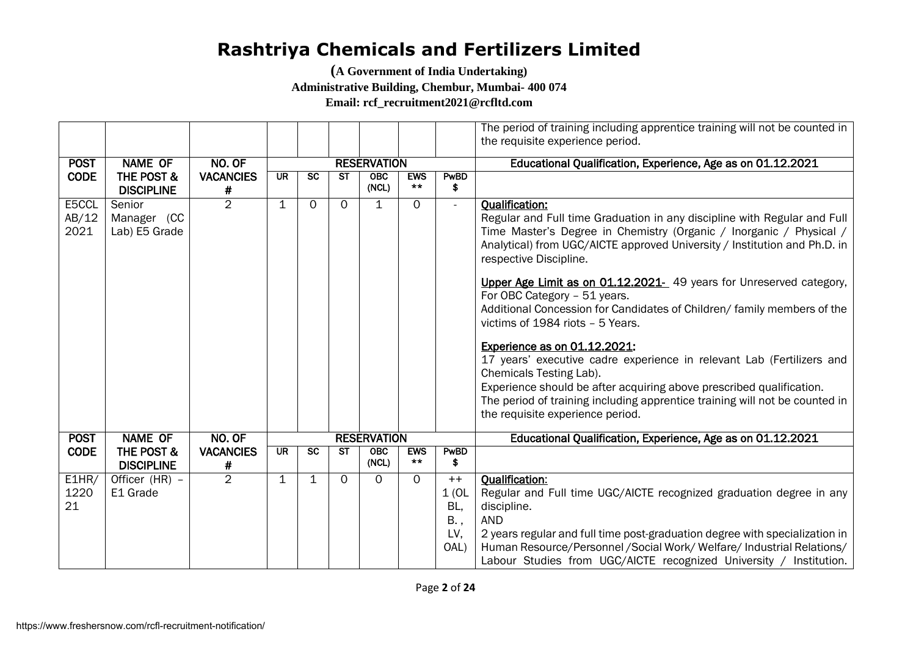**(A Government of India Undertaking)** 

**Administrative Building, Chembur, Mumbai- 400 074**

**Email: rcf\_recruitment2021@rcfltd.com**

|             |                                            |                       |             |                 |           |                    |                     |            | The period of training including apprentice training will not be counted in |
|-------------|--------------------------------------------|-----------------------|-------------|-----------------|-----------|--------------------|---------------------|------------|-----------------------------------------------------------------------------|
|             |                                            |                       |             |                 |           |                    |                     |            | the requisite experience period.                                            |
| <b>POST</b> | <b>NAME OF</b>                             | NO. OF                |             |                 |           | <b>RESERVATION</b> |                     |            | Educational Qualification, Experience, Age as on 01.12.2021                 |
| <b>CODE</b> | <b>THE POST &amp;</b>                      | <b>VACANCIES</b>      | <b>UR</b>   | <b>SC</b>       | ST        | <b>OBC</b>         | <b>EWS</b>          | PwBD       |                                                                             |
|             | <b>DISCIPLINE</b>                          | #                     |             |                 |           | (NCL)              | $***$               | \$         |                                                                             |
| E5CCL       | Senior                                     | $\overline{2}$        | $\mathbf 1$ | $\Omega$        | $\Omega$  | $\mathbf{1}$       | $\Omega$            | $\sim$     | <b>Qualification:</b>                                                       |
| AB/12       | Manager (CC                                |                       |             |                 |           |                    |                     |            | Regular and Full time Graduation in any discipline with Regular and Full    |
| 2021        | Lab) E5 Grade                              |                       |             |                 |           |                    |                     |            | Time Master's Degree in Chemistry (Organic / Inorganic / Physical /         |
|             |                                            |                       |             |                 |           |                    |                     |            | Analytical) from UGC/AICTE approved University / Institution and Ph.D. in   |
|             |                                            |                       |             |                 |           |                    |                     |            | respective Discipline.                                                      |
|             |                                            |                       |             |                 |           |                    |                     |            | Upper Age Limit as on 01.12.2021- 49 years for Unreserved category,         |
|             |                                            |                       |             |                 |           |                    |                     |            | For OBC Category - 51 years.                                                |
|             |                                            |                       |             |                 |           |                    |                     |            | Additional Concession for Candidates of Children/ family members of the     |
|             |                                            |                       |             |                 |           |                    |                     |            | victims of 1984 riots - 5 Years.                                            |
|             |                                            |                       |             |                 |           |                    |                     |            | <b>Experience as on 01.12.2021:</b>                                         |
|             |                                            |                       |             |                 |           |                    |                     |            | 17 years' executive cadre experience in relevant Lab (Fertilizers and       |
|             |                                            |                       |             |                 |           |                    |                     |            | Chemicals Testing Lab).                                                     |
|             |                                            |                       |             |                 |           |                    |                     |            | Experience should be after acquiring above prescribed qualification.        |
|             |                                            |                       |             |                 |           |                    |                     |            | The period of training including apprentice training will not be counted in |
|             |                                            |                       |             |                 |           |                    |                     |            | the requisite experience period.                                            |
|             |                                            |                       |             |                 |           |                    |                     |            |                                                                             |
| <b>POST</b> | <b>NAME OF</b>                             | NO. OF                |             |                 |           | <b>RESERVATION</b> |                     |            | Educational Qualification, Experience, Age as on 01.12.2021                 |
| <b>CODE</b> | <b>THE POST &amp;</b><br><b>DISCIPLINE</b> | <b>VACANCIES</b><br># | <b>UR</b>   | $\overline{sc}$ | <b>ST</b> | OBC<br>(NCL)       | <b>EWS</b><br>$***$ | PwBD<br>\$ |                                                                             |
| E1HR/       | Officer (HR) -                             | $\overline{2}$        | $\mathbf 1$ | $\mathbf{1}$    | $\Omega$  | $\Omega$           | $\Omega$            | $++$       | <b>Qualification:</b>                                                       |
| 1220        | E1 Grade                                   |                       |             |                 |           |                    |                     | 1(0L)      | Regular and Full time UGC/AICTE recognized graduation degree in any         |
| 21          |                                            |                       |             |                 |           |                    |                     | BL,        | discipline.                                                                 |
|             |                                            |                       |             |                 |           |                    |                     | B.,        | <b>AND</b>                                                                  |
|             |                                            |                       |             |                 |           |                    |                     | LV,        | 2 years regular and full time post-graduation degree with specialization in |
|             |                                            |                       |             |                 |           |                    |                     | OAL)       | Human Resource/Personnel / Social Work/ Welfare/ Industrial Relations/      |
|             |                                            |                       |             |                 |           |                    |                     |            | Labour Studies from UGC/AICTE recognized University / Institution.          |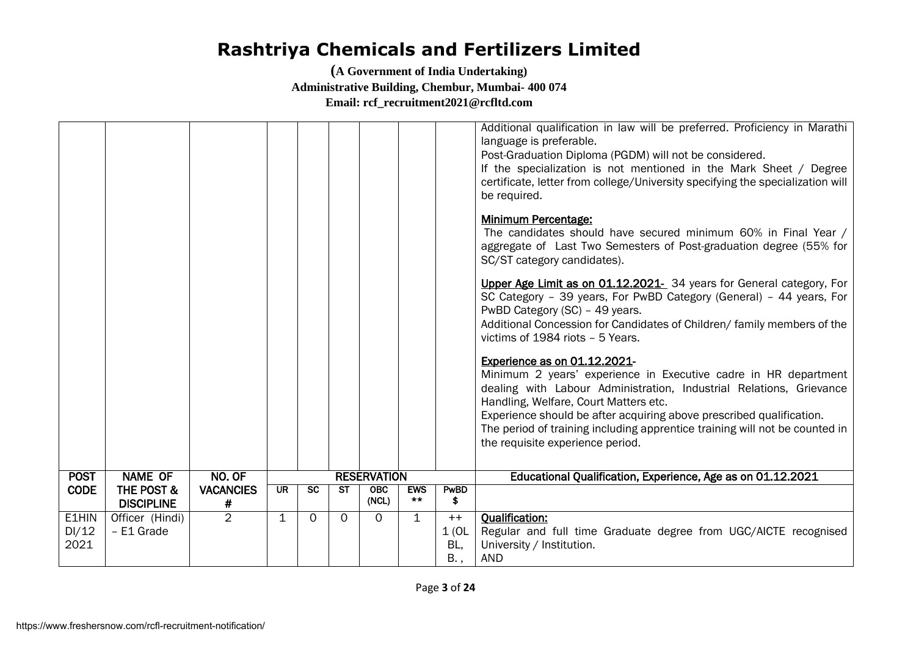|                        |                               |                  |                          |           |                                      |                    |              |                             | Additional qualification in law will be preferred. Proficiency in Marathi<br>language is preferable.<br>Post-Graduation Diploma (PGDM) will not be considered.<br>If the specialization is not mentioned in the Mark Sheet / Degree<br>certificate, letter from college/University specifying the specialization will<br>be required.                                                                      |
|------------------------|-------------------------------|------------------|--------------------------|-----------|--------------------------------------|--------------------|--------------|-----------------------------|------------------------------------------------------------------------------------------------------------------------------------------------------------------------------------------------------------------------------------------------------------------------------------------------------------------------------------------------------------------------------------------------------------|
|                        |                               |                  |                          |           |                                      |                    |              |                             | <b>Minimum Percentage:</b><br>The candidates should have secured minimum 60% in Final Year /<br>aggregate of Last Two Semesters of Post-graduation degree (55% for<br>SC/ST category candidates).                                                                                                                                                                                                          |
|                        |                               |                  |                          |           |                                      |                    |              |                             | Upper Age Limit as on 01.12.2021- 34 years for General category, For<br>SC Category - 39 years, For PwBD Category (General) - 44 years, For<br>PwBD Category (SC) - 49 years.<br>Additional Concession for Candidates of Children/ family members of the<br>victims of 1984 riots - 5 Years.                                                                                                               |
|                        |                               |                  |                          |           |                                      |                    |              |                             | Experience as on 01.12.2021-<br>Minimum 2 years' experience in Executive cadre in HR department<br>dealing with Labour Administration, Industrial Relations, Grievance<br>Handling, Welfare, Court Matters etc.<br>Experience should be after acquiring above prescribed qualification.<br>The period of training including apprentice training will not be counted in<br>the requisite experience period. |
| <b>POST</b>            | <b>NAME OF</b>                | NO. OF           |                          |           |                                      | <b>RESERVATION</b> |              |                             | Educational Qualification, Experience, Age as on 01.12.2021                                                                                                                                                                                                                                                                                                                                                |
| <b>CODE</b>            | <b>THE POST &amp;</b>         | <b>VACANCIES</b> | $\overline{\mathsf{UR}}$ | <b>SC</b> | $\overline{\mathsf{S}^{\mathsf{T}}}$ | OBC                | <b>EWS</b>   | PwBD                        |                                                                                                                                                                                                                                                                                                                                                                                                            |
|                        | <b>DISCIPLINE</b>             | #                |                          |           |                                      | (NCL)              | $***$        | \$                          |                                                                                                                                                                                                                                                                                                                                                                                                            |
| E1HIN<br>DI/12<br>2021 | Officer (Hindi)<br>- E1 Grade | $\overline{2}$   | $\mathbf{1}$             | $\Omega$  | $\Omega$                             | $\Omega$           | $\mathbf{1}$ | $++$<br>1(0L)<br>BL,<br>B., | <b>Oualification:</b><br>Regular and full time Graduate degree from UGC/AICTE recognised<br>University / Institution.<br><b>AND</b>                                                                                                                                                                                                                                                                        |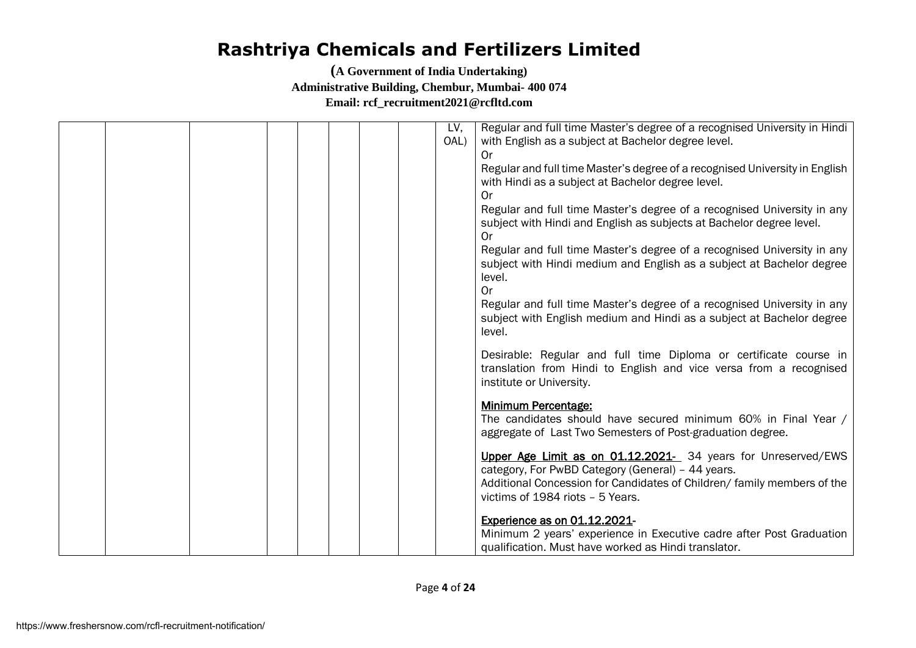|  |  | LV,<br>OAL) | Regular and full time Master's degree of a recognised University in Hindi<br>with English as a subject at Bachelor degree level.                                                                                                  |
|--|--|-------------|-----------------------------------------------------------------------------------------------------------------------------------------------------------------------------------------------------------------------------------|
|  |  |             | 0r                                                                                                                                                                                                                                |
|  |  |             | Regular and full time Master's degree of a recognised University in English<br>with Hindi as a subject at Bachelor degree level.<br>0r                                                                                            |
|  |  |             | Regular and full time Master's degree of a recognised University in any<br>subject with Hindi and English as subjects at Bachelor degree level.<br>0r                                                                             |
|  |  |             | Regular and full time Master's degree of a recognised University in any<br>subject with Hindi medium and English as a subject at Bachelor degree<br>level.                                                                        |
|  |  |             | <b>Or</b><br>Regular and full time Master's degree of a recognised University in any<br>subject with English medium and Hindi as a subject at Bachelor degree<br>level.                                                           |
|  |  |             | Desirable: Regular and full time Diploma or certificate course in<br>translation from Hindi to English and vice versa from a recognised<br>institute or University.                                                               |
|  |  |             | <b>Minimum Percentage:</b><br>The candidates should have secured minimum 60% in Final Year /<br>aggregate of Last Two Semesters of Post-graduation degree.                                                                        |
|  |  |             | Upper Age Limit as on 01.12.2021- 34 years for Unreserved/EWS<br>category, For PwBD Category (General) - 44 years.<br>Additional Concession for Candidates of Children/ family members of the<br>victims of 1984 riots - 5 Years. |
|  |  |             | Experience as on 01.12.2021-<br>Minimum 2 years' experience in Executive cadre after Post Graduation<br>qualification. Must have worked as Hindi translator.                                                                      |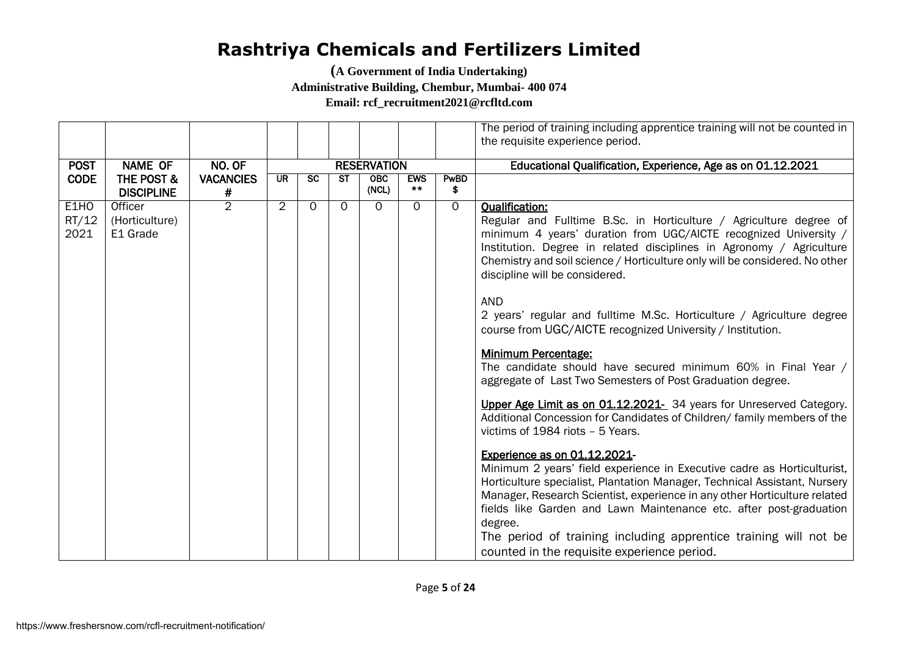**(A Government of India Undertaking)** 

**Administrative Building, Chembur, Mumbai- 400 074**

**Email: rcf\_recruitment2021@rcfltd.com**

|             |                       |                  |                |           |           |                    |            |          | The period of training including apprentice training will not be counted in |
|-------------|-----------------------|------------------|----------------|-----------|-----------|--------------------|------------|----------|-----------------------------------------------------------------------------|
|             |                       |                  |                |           |           |                    |            |          | the requisite experience period.                                            |
|             |                       |                  |                |           |           |                    |            |          |                                                                             |
| <b>POST</b> | <b>NAME OF</b>        | NO. OF           |                |           |           | <b>RESERVATION</b> |            |          | Educational Qualification, Experience, Age as on 01.12.2021                 |
| <b>CODE</b> | <b>THE POST &amp;</b> | <b>VACANCIES</b> | UR.            | <b>SC</b> | <b>ST</b> | <b>OBC</b>         | <b>EWS</b> | PwBD     |                                                                             |
|             | <b>DISCIPLINE</b>     | #                |                |           |           | (NCL)              | $***$      | \$       |                                                                             |
| E1HO        | Officer               | $\overline{2}$   | $\overline{2}$ | $\Omega$  | $\Omega$  | $\Omega$           | $\Omega$   | $\Omega$ | <b>Qualification:</b>                                                       |
| RT/12       | (Horticulture)        |                  |                |           |           |                    |            |          | Regular and Fulltime B.Sc. in Horticulture / Agriculture degree of          |
| 2021        | E1 Grade              |                  |                |           |           |                    |            |          | minimum 4 years' duration from UGC/AICTE recognized University /            |
|             |                       |                  |                |           |           |                    |            |          | Institution. Degree in related disciplines in Agronomy / Agriculture        |
|             |                       |                  |                |           |           |                    |            |          | Chemistry and soil science / Horticulture only will be considered. No other |
|             |                       |                  |                |           |           |                    |            |          | discipline will be considered.                                              |
|             |                       |                  |                |           |           |                    |            |          |                                                                             |
|             |                       |                  |                |           |           |                    |            |          | <b>AND</b>                                                                  |
|             |                       |                  |                |           |           |                    |            |          | 2 years' regular and fulltime M.Sc. Horticulture / Agriculture degree       |
|             |                       |                  |                |           |           |                    |            |          | course from UGC/AICTE recognized University / Institution.                  |
|             |                       |                  |                |           |           |                    |            |          |                                                                             |
|             |                       |                  |                |           |           |                    |            |          | <b>Minimum Percentage:</b>                                                  |
|             |                       |                  |                |           |           |                    |            |          | The candidate should have secured minimum 60% in Final Year /               |
|             |                       |                  |                |           |           |                    |            |          | aggregate of Last Two Semesters of Post Graduation degree.                  |
|             |                       |                  |                |           |           |                    |            |          | Upper Age Limit as on 01.12.2021- 34 years for Unreserved Category.         |
|             |                       |                  |                |           |           |                    |            |          | Additional Concession for Candidates of Children/ family members of the     |
|             |                       |                  |                |           |           |                    |            |          | victims of 1984 riots - 5 Years.                                            |
|             |                       |                  |                |           |           |                    |            |          |                                                                             |
|             |                       |                  |                |           |           |                    |            |          | Experience as on 01.12.2021-                                                |
|             |                       |                  |                |           |           |                    |            |          | Minimum 2 years' field experience in Executive cadre as Horticulturist,     |
|             |                       |                  |                |           |           |                    |            |          | Horticulture specialist, Plantation Manager, Technical Assistant, Nursery   |
|             |                       |                  |                |           |           |                    |            |          | Manager, Research Scientist, experience in any other Horticulture related   |
|             |                       |                  |                |           |           |                    |            |          | fields like Garden and Lawn Maintenance etc. after post-graduation          |
|             |                       |                  |                |           |           |                    |            |          | degree.                                                                     |
|             |                       |                  |                |           |           |                    |            |          | The period of training including apprentice training will not be            |
|             |                       |                  |                |           |           |                    |            |          | counted in the requisite experience period.                                 |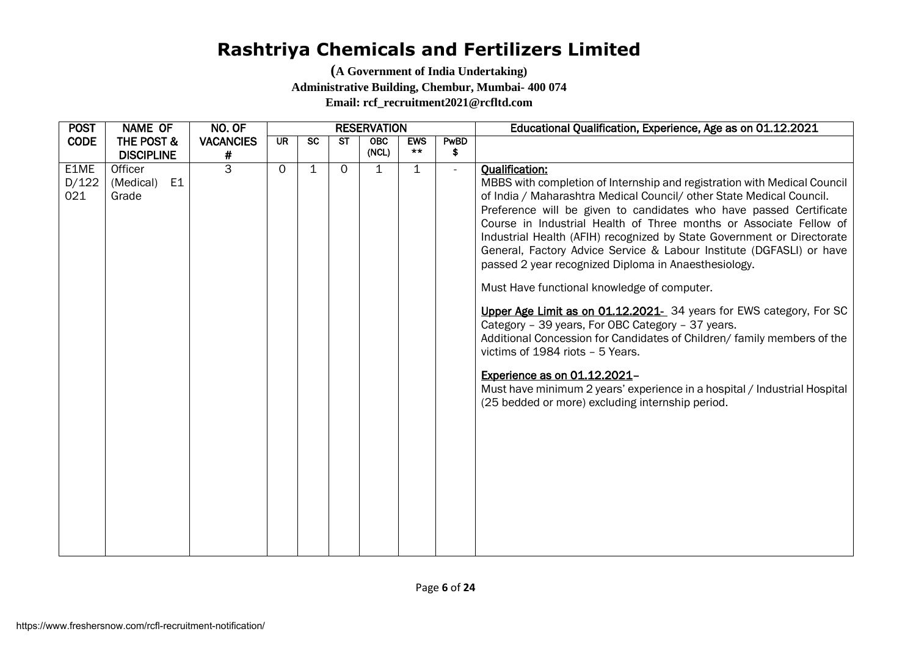| <b>POST</b>          | <b>NAME OF</b>                                  | NO. OF           |          |           |           | <b>RESERVATION</b> |              |        | Educational Qualification, Experience, Age as on 01.12.2021                                                                                                                                                                                                                                                                                                                                                                                                                                                                                                                                                                                                                                                                                                                                                                                                                                                                                                                                |
|----------------------|-------------------------------------------------|------------------|----------|-----------|-----------|--------------------|--------------|--------|--------------------------------------------------------------------------------------------------------------------------------------------------------------------------------------------------------------------------------------------------------------------------------------------------------------------------------------------------------------------------------------------------------------------------------------------------------------------------------------------------------------------------------------------------------------------------------------------------------------------------------------------------------------------------------------------------------------------------------------------------------------------------------------------------------------------------------------------------------------------------------------------------------------------------------------------------------------------------------------------|
| <b>CODE</b>          | THE POST &                                      | <b>VACANCIES</b> | UR.      | <b>SC</b> | <b>ST</b> | <b>OBC</b>         | <b>EWS</b>   | PwBD   |                                                                                                                                                                                                                                                                                                                                                                                                                                                                                                                                                                                                                                                                                                                                                                                                                                                                                                                                                                                            |
|                      | <b>DISCIPLINE</b>                               | #                |          |           |           | (NCL)              | $***$        | \$     |                                                                                                                                                                                                                                                                                                                                                                                                                                                                                                                                                                                                                                                                                                                                                                                                                                                                                                                                                                                            |
| E1ME<br>D/122<br>021 | Officer<br>E <sub>1</sub><br>(Medical)<br>Grade | $\overline{3}$   | $\Omega$ | 1         | $\Omega$  | 1                  | $\mathbf{1}$ | $\sim$ | <b>Qualification:</b><br>MBBS with completion of Internship and registration with Medical Council<br>of India / Maharashtra Medical Council/ other State Medical Council.<br>Preference will be given to candidates who have passed Certificate<br>Course in Industrial Health of Three months or Associate Fellow of<br>Industrial Health (AFIH) recognized by State Government or Directorate<br>General, Factory Advice Service & Labour Institute (DGFASLI) or have<br>passed 2 year recognized Diploma in Anaesthesiology.<br>Must Have functional knowledge of computer.<br>Upper Age Limit as on 01.12.2021- 34 years for EWS category, For SC<br>Category - 39 years, For OBC Category - 37 years.<br>Additional Concession for Candidates of Children/ family members of the<br>victims of 1984 riots - 5 Years.<br>Experience as on 01.12.2021-<br>Must have minimum 2 years' experience in a hospital / Industrial Hospital<br>(25 bedded or more) excluding internship period. |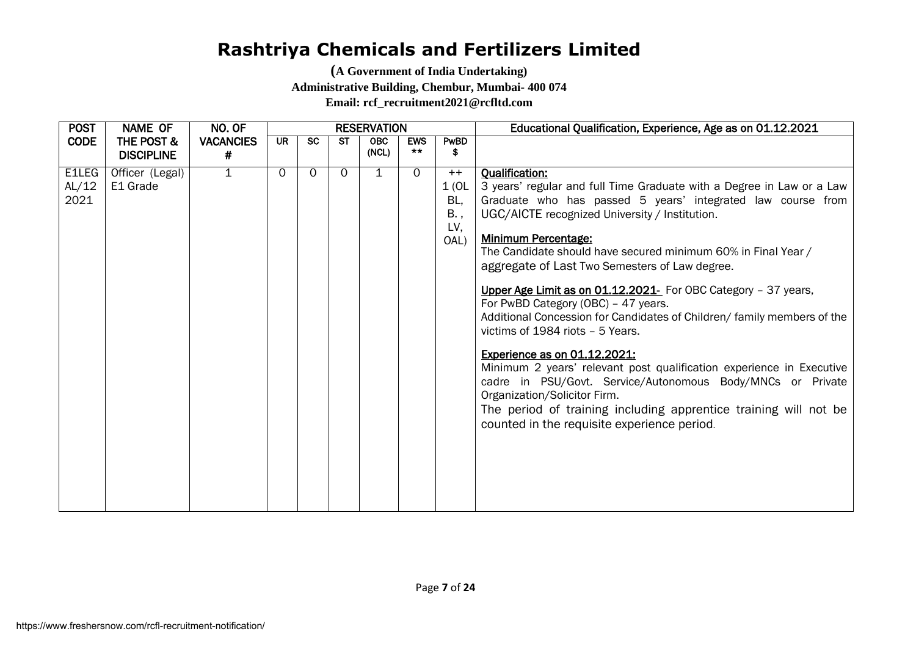| <b>POST</b>                   | <b>NAME OF</b>                  | NO. OF                | <b>RESERVATION</b> |           |          |                     |                     |                                            | Educational Qualification, Experience, Age as on 01.12.2021                                                                                                                                                                                                                                                                                                                                                                                                                                                                                                                                                                                                                                                                                                                                                                                                                                                       |
|-------------------------------|---------------------------------|-----------------------|--------------------|-----------|----------|---------------------|---------------------|--------------------------------------------|-------------------------------------------------------------------------------------------------------------------------------------------------------------------------------------------------------------------------------------------------------------------------------------------------------------------------------------------------------------------------------------------------------------------------------------------------------------------------------------------------------------------------------------------------------------------------------------------------------------------------------------------------------------------------------------------------------------------------------------------------------------------------------------------------------------------------------------------------------------------------------------------------------------------|
| <b>CODE</b>                   | THE POST &<br><b>DISCIPLINE</b> | <b>VACANCIES</b><br># | <b>UR</b>          | <b>SC</b> | ST       | <b>OBC</b><br>(NCL) | <b>EWS</b><br>$***$ | PwBD<br>\$                                 |                                                                                                                                                                                                                                                                                                                                                                                                                                                                                                                                                                                                                                                                                                                                                                                                                                                                                                                   |
| <b>E1LEG</b><br>AL/12<br>2021 | Officer (Legal)<br>E1 Grade     | $\overline{1}$        | $\Omega$           | $\Omega$  | $\Omega$ | 1                   | $\Omega$            | $++$<br>1(0L)<br>BL,<br>B.,<br>LV,<br>OAL) | <b>Qualification:</b><br>3 years' regular and full Time Graduate with a Degree in Law or a Law<br>Graduate who has passed 5 years' integrated law course from<br>UGC/AICTE recognized University / Institution.<br><b>Minimum Percentage:</b><br>The Candidate should have secured minimum 60% in Final Year /<br>aggregate of Last Two Semesters of Law degree.<br>Upper Age Limit as on 01.12.2021- For OBC Category - 37 years,<br>For PwBD Category (OBC) - 47 years.<br>Additional Concession for Candidates of Children/ family members of the<br>victims of 1984 riots - 5 Years.<br>Experience as on 01.12.2021:<br>Minimum 2 years' relevant post qualification experience in Executive<br>cadre in PSU/Govt. Service/Autonomous Body/MNCs or Private<br>Organization/Solicitor Firm.<br>The period of training including apprentice training will not be<br>counted in the requisite experience period. |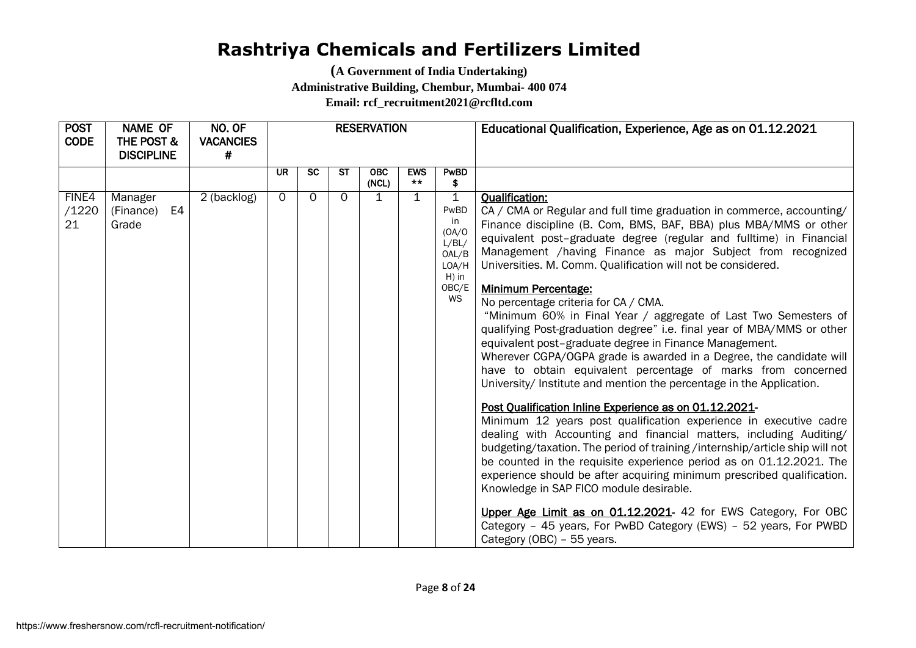| <b>POST</b><br><b>CODE</b> | <b>NAME OF</b><br>THE POST &<br><b>DISCIPLINE</b> | NO. OF<br><b>VACANCIES</b><br># |           |           |           | <b>RESERVATION</b>  |                     |                                                                                          | Educational Qualification, Experience, Age as on 01.12.2021                                                                                                                                                                                                                                                                                                                                                                                                                                                                                                                                                                                                                                                                                                                                                                                                                                                                                                                                                                                                                                                                                                                                                                                                                                                                                                                                                                                                                                                         |
|----------------------------|---------------------------------------------------|---------------------------------|-----------|-----------|-----------|---------------------|---------------------|------------------------------------------------------------------------------------------|---------------------------------------------------------------------------------------------------------------------------------------------------------------------------------------------------------------------------------------------------------------------------------------------------------------------------------------------------------------------------------------------------------------------------------------------------------------------------------------------------------------------------------------------------------------------------------------------------------------------------------------------------------------------------------------------------------------------------------------------------------------------------------------------------------------------------------------------------------------------------------------------------------------------------------------------------------------------------------------------------------------------------------------------------------------------------------------------------------------------------------------------------------------------------------------------------------------------------------------------------------------------------------------------------------------------------------------------------------------------------------------------------------------------------------------------------------------------------------------------------------------------|
|                            |                                                   |                                 | <b>UR</b> | <b>SC</b> | <b>ST</b> | <b>OBC</b><br>(NCL) | <b>EWS</b><br>$***$ | PwBD<br>\$                                                                               |                                                                                                                                                                                                                                                                                                                                                                                                                                                                                                                                                                                                                                                                                                                                                                                                                                                                                                                                                                                                                                                                                                                                                                                                                                                                                                                                                                                                                                                                                                                     |
| FINE4<br>/1220<br>21       | Manager<br>E4<br>(Finance)<br>Grade               | 2 (backlog)                     | $\Omega$  | $\Omega$  | $\Omega$  | $\mathbf 1$         | $\mathbf{1}$        | $\mathbf 1$<br>PwBD<br>in<br>(OA/O)<br>L/BL/<br>OAL/B<br>LOA/H<br>$H)$ in<br>OBC/E<br>WS | <b>Qualification:</b><br>CA / CMA or Regular and full time graduation in commerce, accounting/<br>Finance discipline (B. Com, BMS, BAF, BBA) plus MBA/MMS or other<br>equivalent post-graduate degree (regular and fulltime) in Financial<br>Management /having Finance as major Subject from recognized<br>Universities. M. Comm. Qualification will not be considered.<br>Minimum Percentage:<br>No percentage criteria for CA / CMA.<br>"Minimum 60% in Final Year / aggregate of Last Two Semesters of<br>qualifying Post-graduation degree" i.e. final year of MBA/MMS or other<br>equivalent post-graduate degree in Finance Management.<br>Wherever CGPA/OGPA grade is awarded in a Degree, the candidate will<br>have to obtain equivalent percentage of marks from concerned<br>University/ Institute and mention the percentage in the Application.<br>Post Qualification Inline Experience as on 01.12.2021-<br>Minimum 12 years post qualification experience in executive cadre<br>dealing with Accounting and financial matters, including Auditing/<br>budgeting/taxation. The period of training /internship/article ship will not<br>be counted in the requisite experience period as on 01.12.2021. The<br>experience should be after acquiring minimum prescribed qualification.<br>Knowledge in SAP FICO module desirable.<br>Upper Age Limit as on 01.12.2021- 42 for EWS Category, For OBC<br>Category - 45 years, For PwBD Category (EWS) - 52 years, For PWBD<br>Category (OBC) - 55 years. |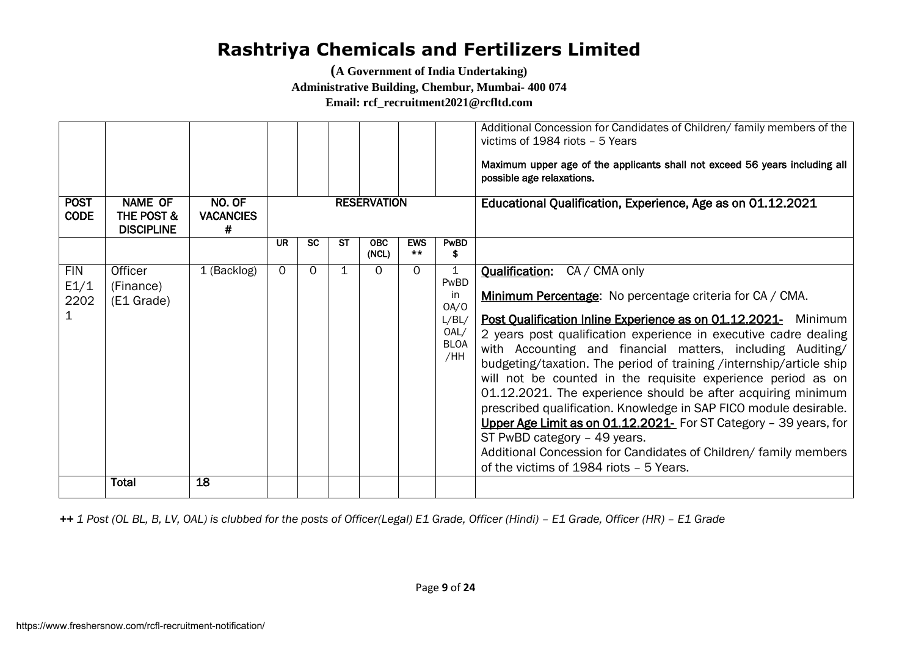**(A Government of India Undertaking)** 

**Administrative Building, Chembur, Mumbai- 400 074**

**Email: rcf\_recruitment2021@rcfltd.com**

| <b>POST</b><br><b>CODE</b> | <b>NAME OF</b><br>THE POST &<br><b>DISCIPLINE</b> | NO. OF<br><b>VACANCIES</b><br># |          |           |             | <b>RESERVATION</b>  |                     |                                                                | Additional Concession for Candidates of Children/ family members of the<br>victims of 1984 riots - 5 Years<br>Maximum upper age of the applicants shall not exceed 56 years including all<br>possible age relaxations.<br>Educational Qualification, Experience, Age as on 01.12.2021                                                                                                                                                                                                                                                                                                                                                                                                                                                                                                                  |
|----------------------------|---------------------------------------------------|---------------------------------|----------|-----------|-------------|---------------------|---------------------|----------------------------------------------------------------|--------------------------------------------------------------------------------------------------------------------------------------------------------------------------------------------------------------------------------------------------------------------------------------------------------------------------------------------------------------------------------------------------------------------------------------------------------------------------------------------------------------------------------------------------------------------------------------------------------------------------------------------------------------------------------------------------------------------------------------------------------------------------------------------------------|
|                            |                                                   |                                 | UR       | <b>SC</b> | <b>ST</b>   | <b>OBC</b><br>(NCL) | <b>EWS</b><br>$***$ | PwBD<br>\$                                                     |                                                                                                                                                                                                                                                                                                                                                                                                                                                                                                                                                                                                                                                                                                                                                                                                        |
| <b>FIN</b><br>E1/1<br>2202 | Officer<br>(Finance)<br>(E1 Grade)                | 1 (Backlog)                     | $\Omega$ | 0         | $\mathbf 1$ | $\Omega$            | $\Omega$            | 1<br>PwBD<br>in<br>OA/O<br>L/BL/<br>OAL/<br><b>BLOA</b><br>/HH | CA / CMA only<br><b>Qualification:</b><br>Minimum Percentage: No percentage criteria for CA / CMA.<br>Post Qualification Inline Experience as on 01.12.2021- Minimum<br>2 years post qualification experience in executive cadre dealing<br>with Accounting and financial matters, including Auditing/<br>budgeting/taxation. The period of training /internship/article ship<br>will not be counted in the requisite experience period as on<br>01.12.2021. The experience should be after acquiring minimum<br>prescribed qualification. Knowledge in SAP FICO module desirable.<br>Upper Age Limit as on 01.12.2021- For ST Category - 39 years, for<br>ST PwBD category - 49 years.<br>Additional Concession for Candidates of Children/ family members<br>of the victims of 1984 riots - 5 Years. |
|                            | <b>Total</b>                                      | 18                              |          |           |             |                     |                     |                                                                |                                                                                                                                                                                                                                                                                                                                                                                                                                                                                                                                                                                                                                                                                                                                                                                                        |

*++ 1 Post (OL BL, B, LV, OAL) is clubbed for the posts of Officer(Legal) E1 Grade, Officer (Hindi) – E1 Grade, Officer (HR) – E1 Grade*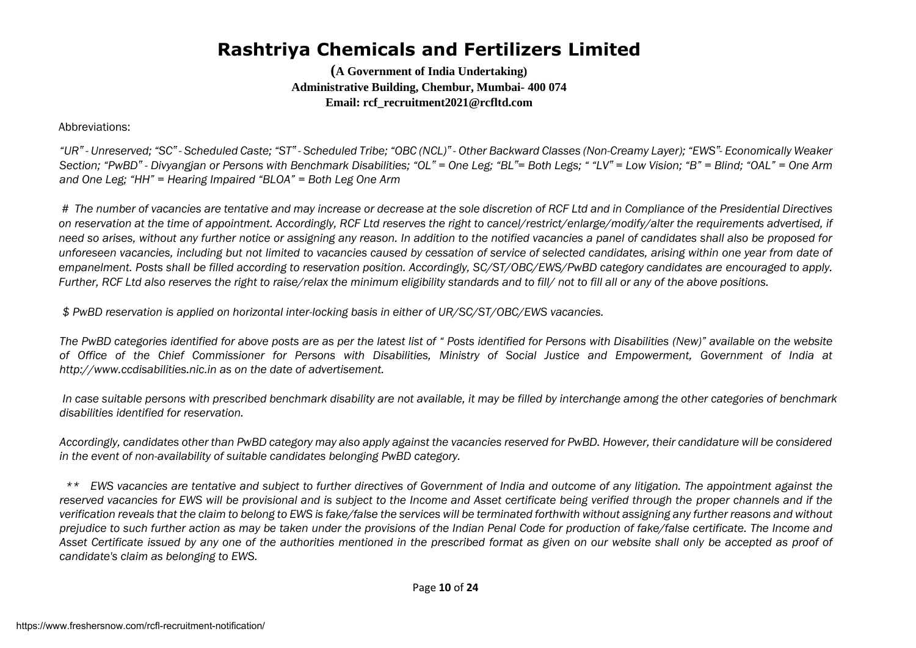**(A Government of India Undertaking) Administrative Building, Chembur, Mumbai- 400 074 Email: rcf\_recruitment2021@rcfltd.com**

Abbreviations:

"UR" - Unreserved; "SC" - Scheduled Caste; "ST" - Scheduled Tribe; "OBC (NCL)" - Other Backward Classes (Non-Creamy Layer); "EWS"- Economically Weaker Section: "PwBD" - Divvangian or Persons with Benchmark Disabilities: "OL" = One Leg: "BL"= Both Legs: ""LV" = Low Vision: "B" = Blind: "OAL" = One Arm *and One Leg; "HH" = Hearing Impaired "BLOA" = Both Leg One Arm*

*# The number of vacancies are tentative and may increase or decrease at the sole discretion of RCF Ltd and in Compliance of the Presidential Directives on reservation at the time of appointment. Accordingly, RCF Ltd reserves the right to cancel/restrict/enlarge/modify/alter the requirements advertised, if need so arises, without any further notice or assigning any reason. In addition to the notified vacancies a panel of candidates shall also be proposed for unforeseen vacancies, including but not limited to vacancies caused by cessation of service of selected candidates, arising within one year from date of empanelment. Posts shall be filled according to reservation position. Accordingly, SC/ST/OBC/EWS/PwBD category candidates are encouraged to apply. Further, RCF Ltd also reserves the right to raise/relax the minimum eligibility standards and to fill/ not to fill all or any of the above positions.* 

*\$ PwBD reservation is applied on horizontal inter-locking basis in either of UR/SC/ST/OBC/EWS vacancies.* 

*The PwBD categories identified for above posts are as per the latest list of " Posts identified for Persons with Disabilities (New)" available on the website of Office of the Chief Commissioner for Persons with Disabilities, Ministry of Social Justice and Empowerment, Government of India at http://www.ccdisabilities.nic.in as on the date of advertisement.*

*In case suitable persons with prescribed benchmark disability are not available, it may be filled by interchange among the other categories of benchmark disabilities identified for reservation.* 

*Accordingly, candidates other than PwBD category may also apply against the vacancies reserved for PwBD. However, their candidature will be considered in the event of non-availability of suitable candidates belonging PwBD category.* 

*\*\* EWS vacancies are tentative and subject to further directives of Government of India and outcome of any litigation. The appointment against the* reserved vacancies for EWS will be provisional and is subject to the Income and Asset certificate being verified through the proper channels and if the *verification reveals that the claim to belong to EWS is fake/false the services will be terminated forthwith without assigning any further reasons and without prejudice to such further action as may be taken under the provisions of the Indian Penal Code for production of fake/false certificate. The Income and Asset Certificate issued by any one of the authorities mentioned in the prescribed format as given on our website shall only be accepted as proof of candidate's claim as belonging to EWS.* 

Page **10** of **24**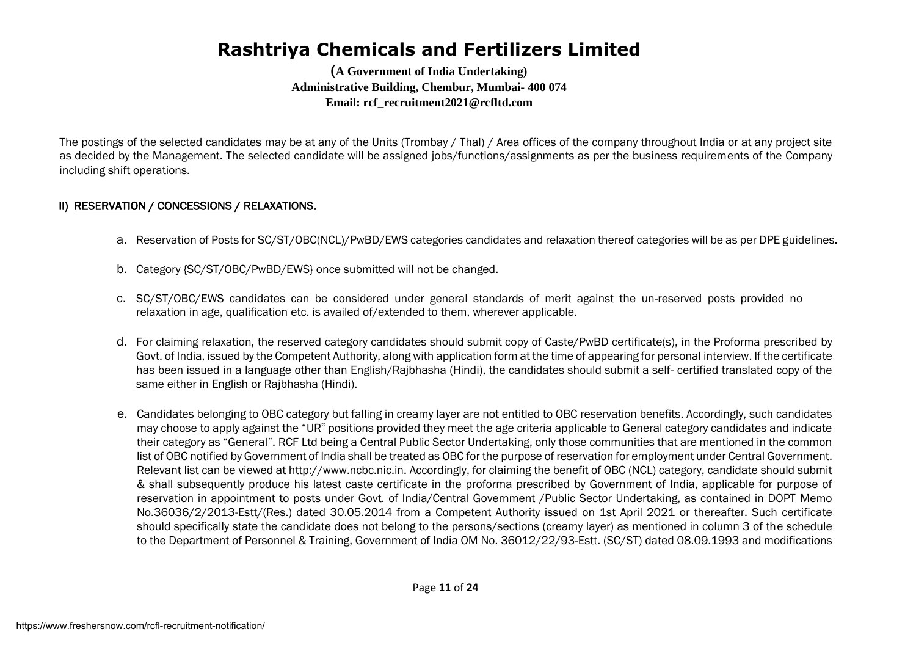**(A Government of India Undertaking) Administrative Building, Chembur, Mumbai- 400 074 Email: rcf\_recruitment2021@rcfltd.com**

The postings of the selected candidates may be at any of the Units (Trombay / Thal) / Area offices of the company throughout India or at any project site as decided by the Management. The selected candidate will be assigned jobs/functions/assignments as per the business requirements of the Company including shift operations.

#### II) RESERVATION / CONCESSIONS / RELAXATIONS.

- a. Reservation of Posts for SC/ST/OBC(NCL)/PwBD/EWS categories candidates and relaxation thereof categories will be as per DPE guidelines.
- b. Category {SC/ST/OBC/PwBD/EWS} once submitted will not be changed.
- c. SC/ST/OBC/EWS candidates can be considered under general standards of merit against the un-reserved posts provided no relaxation in age, qualification etc. is availed of/extended to them, wherever applicable.
- d. For claiming relaxation, the reserved category candidates should submit copy of Caste/PwBD certificate(s), in the Proforma prescribed by Govt. of India, issued by the Competent Authority, along with application form at the time of appearing for personal interview. If the certificate has been issued in a language other than English/Rajbhasha (Hindi), the candidates should submit a self- certified translated copy of the same either in English or Rajbhasha (Hindi).
- e. Candidates belonging to OBC category but falling in creamy layer are not entitled to OBC reservation benefits. Accordingly, such candidates may choose to apply against the "UR" positions provided they meet the age criteria applicable to General category candidates and indicate their category as "General". RCF Ltd being a Central Public Sector Undertaking, only those communities that are mentioned in the common list of OBC notified by Government of India shall be treated as OBC for the purpose of reservation for employment under Central Government. Relevant list can be viewed at http://www.ncbc.nic.in. Accordingly, for claiming the benefit of OBC (NCL) category, candidate should submit & shall subsequently produce his latest caste certificate in the proforma prescribed by Government of India, applicable for purpose of reservation in appointment to posts under Govt. of India/Central Government /Public Sector Undertaking, as contained in DOPT Memo No.36036/2/2013-Estt/(Res.) dated 30.05.2014 from a Competent Authority issued on 1st April 2021 or thereafter. Such certificate should specifically state the candidate does not belong to the persons/sections (creamy layer) as mentioned in column 3 of the schedule to the Department of Personnel & Training, Government of India OM No. 36012/22/93-Estt. (SC/ST) dated 08.09.1993 and modifications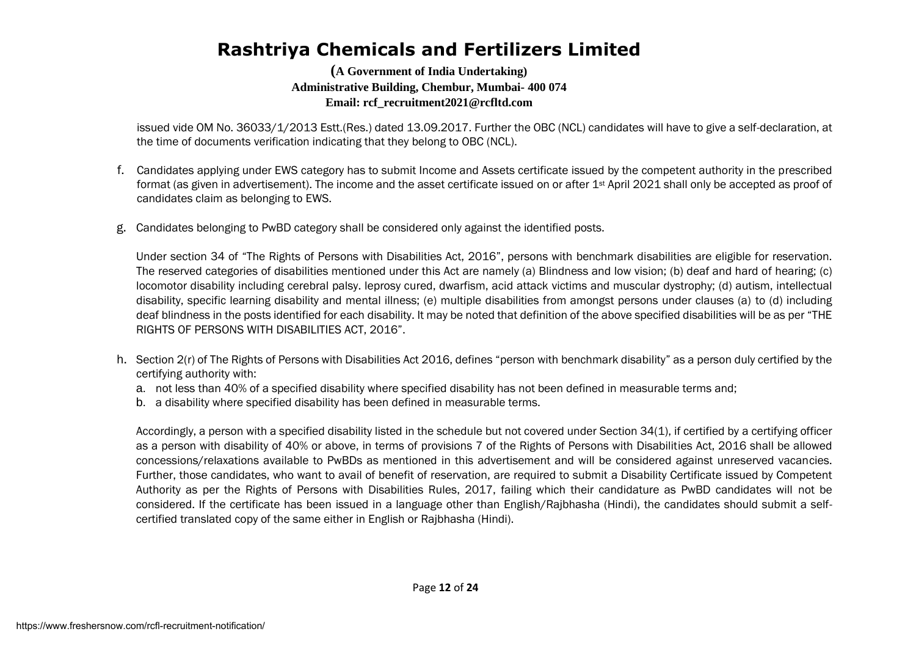**(A Government of India Undertaking) Administrative Building, Chembur, Mumbai- 400 074 Email: rcf\_recruitment2021@rcfltd.com**

issued vide OM No. 36033/1/2013 Estt.(Res.) dated 13.09.2017. Further the OBC (NCL) candidates will have to give a self-declaration, at the time of documents verification indicating that they belong to OBC (NCL).

- f. Candidates applying under EWS category has to submit Income and Assets certificate issued by the competent authority in the prescribed format (as given in advertisement). The income and the asset certificate issued on or after 1st April 2021 shall only be accepted as proof of candidates claim as belonging to EWS.
- g. Candidates belonging to PwBD category shall be considered only against the identified posts.

Under section 34 of "The Rights of Persons with Disabilities Act, 2016", persons with benchmark disabilities are eligible for reservation. The reserved categories of disabilities mentioned under this Act are namely (a) Blindness and low vision; (b) deaf and hard of hearing; (c) locomotor disability including cerebral palsy. leprosy cured, dwarfism, acid attack victims and muscular dystrophy; (d) autism, intellectual disability, specific learning disability and mental illness; (e) multiple disabilities from amongst persons under clauses (a) to (d) including deaf blindness in the posts identified for each disability. It may be noted that definition of the above specified disabilities will be as per "THE RIGHTS OF PERSONS WITH DISABILITIES ACT, 2016".

- h. Section 2(r) of The Rights of Persons with Disabilities Act 2016, defines "person with benchmark disability" as a person duly certified by the certifying authority with:
	- a. not less than 40% of a specified disability where specified disability has not been defined in measurable terms and;
	- b. a disability where specified disability has been defined in measurable terms.

Accordingly, a person with a specified disability listed in the schedule but not covered under Section 34(1), if certified by a certifying officer as a person with disability of 40% or above, in terms of provisions 7 of the Rights of Persons with Disabilities Act, 2016 shall be allowed concessions/relaxations available to PwBDs as mentioned in this advertisement and will be considered against unreserved vacancies. Further, those candidates, who want to avail of benefit of reservation, are required to submit a Disability Certificate issued by Competent Authority as per the Rights of Persons with Disabilities Rules, 2017, failing which their candidature as PwBD candidates will not be considered. If the certificate has been issued in a language other than English/Rajbhasha (Hindi), the candidates should submit a selfcertified translated copy of the same either in English or Rajbhasha (Hindi).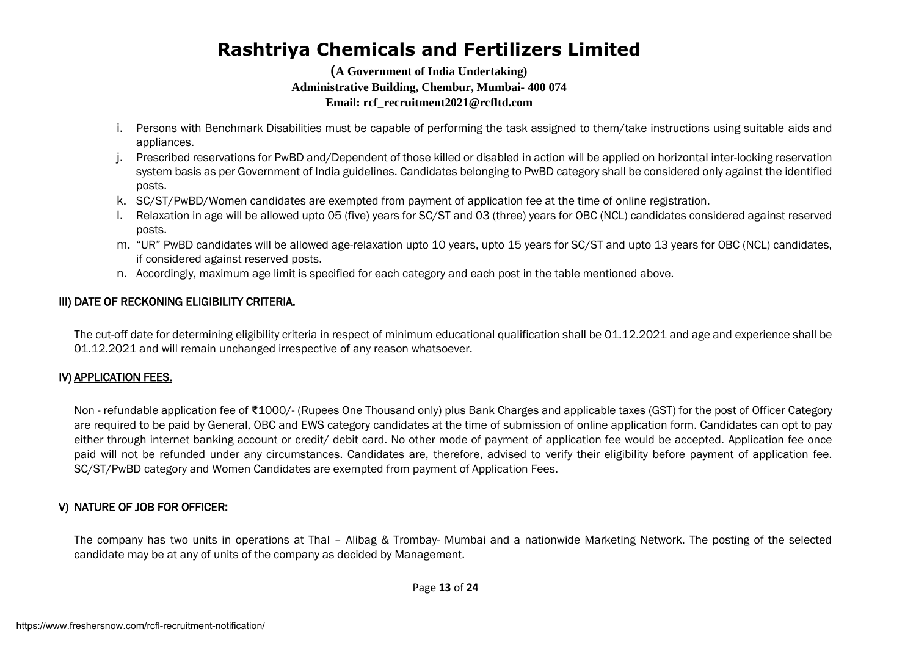**(A Government of India Undertaking) Administrative Building, Chembur, Mumbai- 400 074 Email: rcf\_recruitment2021@rcfltd.com**

- i. Persons with Benchmark Disabilities must be capable of performing the task assigned to them/take instructions using suitable aids and appliances.
- j. Prescribed reservations for PwBD and/Dependent of those killed or disabled in action will be applied on horizontal inter-locking reservation system basis as per Government of India guidelines. Candidates belonging to PwBD category shall be considered only against the identified posts.
- k. SC/ST/PwBD/Women candidates are exempted from payment of application fee at the time of online registration.
- l. Relaxation in age will be allowed upto 05 (five) years for SC/ST and 03 (three) years for OBC (NCL) candidates considered against reserved posts.
- m. "UR" PwBD candidates will be allowed age-relaxation upto 10 years, upto 15 years for SC/ST and upto 13 years for OBC (NCL) candidates, if considered against reserved posts.
- n. Accordingly, maximum age limit is specified for each category and each post in the table mentioned above.

#### III) DATE OF RECKONING ELIGIBILITY CRITERIA.

The cut-off date for determining eligibility criteria in respect of minimum educational qualification shall be 01.12.2021 and age and experience shall be 01.12.2021 and will remain unchanged irrespective of any reason whatsoever.

#### IV) APPLICATION FEES.

Non - refundable application fee of ₹1000/- (Rupees One Thousand only) plus Bank Charges and applicable taxes (GST) for the post of Officer Category are required to be paid by General, OBC and EWS category candidates at the time of submission of online application form. Candidates can opt to pay either through internet banking account or credit/ debit card. No other mode of payment of application fee would be accepted. Application fee once paid will not be refunded under any circumstances. Candidates are, therefore, advised to verify their eligibility before payment of application fee. SC/ST/PwBD category and Women Candidates are exempted from payment of Application Fees.

#### V) NATURE OF JOB FOR OFFICER:

The company has two units in operations at Thal – Alibag & Trombay- Mumbai and a nationwide Marketing Network. The posting of the selected candidate may be at any of units of the company as decided by Management.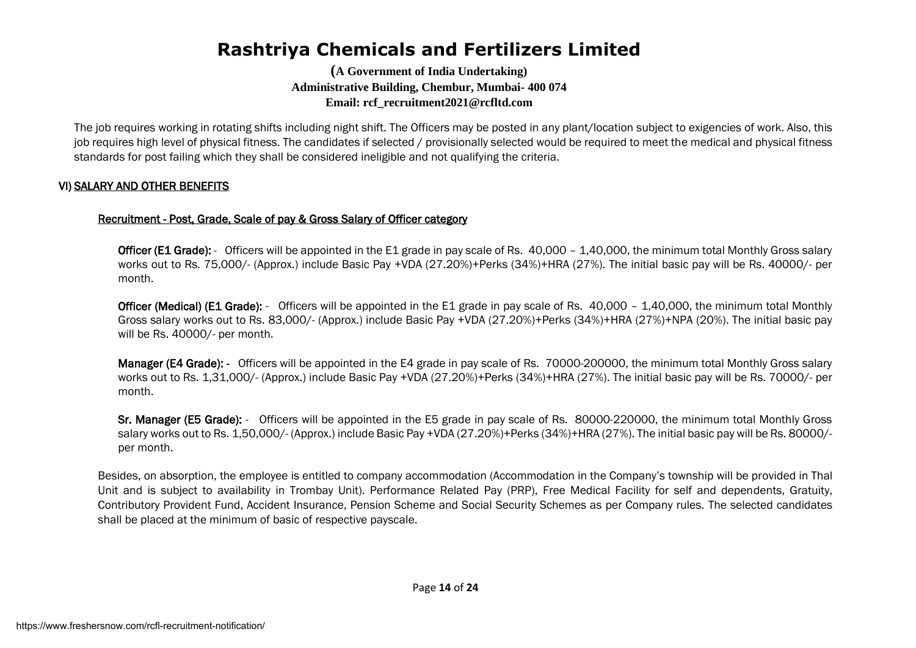**(A Government of India Undertaking) Administrative Building, Chembur, Mumbai- 400 074 Email: rcf\_recruitment2021@rcfltd.com**

The job requires working in rotating shifts including night shift. The Officers may be posted in any plant/location subject to exigencies of work. Also, this job requires high level of physical fitness. The candidates if selected / provisionally selected would be required to meet the medical and physical fitness standards for post failing which they shall be considered ineligible and not qualifying the criteria.

#### VI) SALARY AND OTHER BENEFITS

#### Recruitment - Post, Grade, Scale of pay & Gross Salary of Officer category

Officer (E1 Grade): - Officers will be appointed in the E1 grade in pay scale of Rs. 40,000 - 1,40,000, the minimum total Monthly Gross salary works out to Rs. 75,000/- (Approx.) include Basic Pay +VDA (27.20%)+Perks (34%)+HRA (27%). The initial basic pay will be Rs. 40000/- per month.

Officer (Medical) (E1 Grade): - Officers will be appointed in the E1 grade in pay scale of Rs. 40,000 - 1,40,000, the minimum total Monthly Gross salary works out to Rs. 83,000/- (Approx.) include Basic Pay +VDA (27.20%)+Perks (34%)+HRA (27%)+NPA (20%). The initial basic pay will be Rs. 40000/- per month.

Manager (E4 Grade): - Officers will be appointed in the E4 grade in pay scale of Rs. 70000-200000, the minimum total Monthly Gross salary works out to Rs. 1,31,000/- (Approx.) include Basic Pay +VDA (27.20%)+Perks (34%)+HRA (27%). The initial basic pay will be Rs. 70000/- per month.

Sr. Manager (E5 Grade): - Officers will be appointed in the E5 grade in pay scale of Rs. 80000-220000, the minimum total Monthly Gross salary works out to Rs. 1,50,000/- (Approx.) include Basic Pay +VDA (27.20%)+Perks (34%)+HRA (27%). The initial basic pay will be Rs. 80000/ per month.

Besides, on absorption, the employee is entitled to company accommodation (Accommodation in the Company's township will be provided in Thal Unit and is subject to availability in Trombay Unit). Performance Related Pay (PRP), Free Medical Facility for self and dependents, Gratuity, Contributory Provident Fund, Accident Insurance, Pension Scheme and Social Security Schemes as per Company rules. The selected candidates shall be placed at the minimum of basic of respective payscale.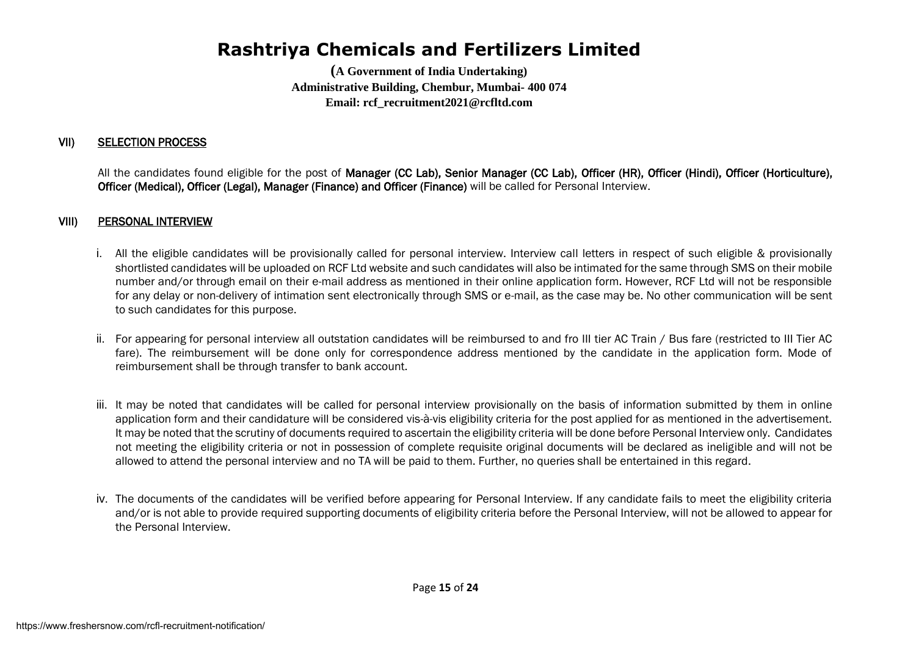**(A Government of India Undertaking) Administrative Building, Chembur, Mumbai- 400 074 Email: rcf\_recruitment2021@rcfltd.com**

#### VII) SELECTION PROCESS

All the candidates found eligible for the post of Manager (CC Lab), Senior Manager (CC Lab), Officer (HR), Officer (Hindi), Officer (Horticulture), Officer (Medical), Officer (Legal), Manager (Finance) and Officer (Finance) will be called for Personal Interview.

#### VIII) PERSONAL INTERVIEW

- i. All the eligible candidates will be provisionally called for personal interview. Interview call letters in respect of such eligible & provisionally shortlisted candidates will be uploaded on RCF Ltd website and such candidates will also be intimated for the same through SMS on their mobile number and/or through email on their e-mail address as mentioned in their online application form. However, RCF Ltd will not be responsible for any delay or non-delivery of intimation sent electronically through SMS or e-mail, as the case may be. No other communication will be sent to such candidates for this purpose.
- ii. For appearing for personal interview all outstation candidates will be reimbursed to and fro III tier AC Train / Bus fare (restricted to III Tier AC fare). The reimbursement will be done only for correspondence address mentioned by the candidate in the application form. Mode of reimbursement shall be through transfer to bank account.
- iii. It may be noted that candidates will be called for personal interview provisionally on the basis of information submitted by them in online application form and their candidature will be considered vis-à-vis eligibility criteria for the post applied for as mentioned in the advertisement. It may be noted that the scrutiny of documents required to ascertain the eligibility criteria will be done before Personal Interview only. Candidates not meeting the eligibility criteria or not in possession of complete requisite original documents will be declared as ineligible and will not be allowed to attend the personal interview and no TA will be paid to them. Further, no queries shall be entertained in this regard.
- iv. The documents of the candidates will be verified before appearing for Personal Interview. If any candidate fails to meet the eligibility criteria and/or is not able to provide required supporting documents of eligibility criteria before the Personal Interview, will not be allowed to appear for the Personal Interview.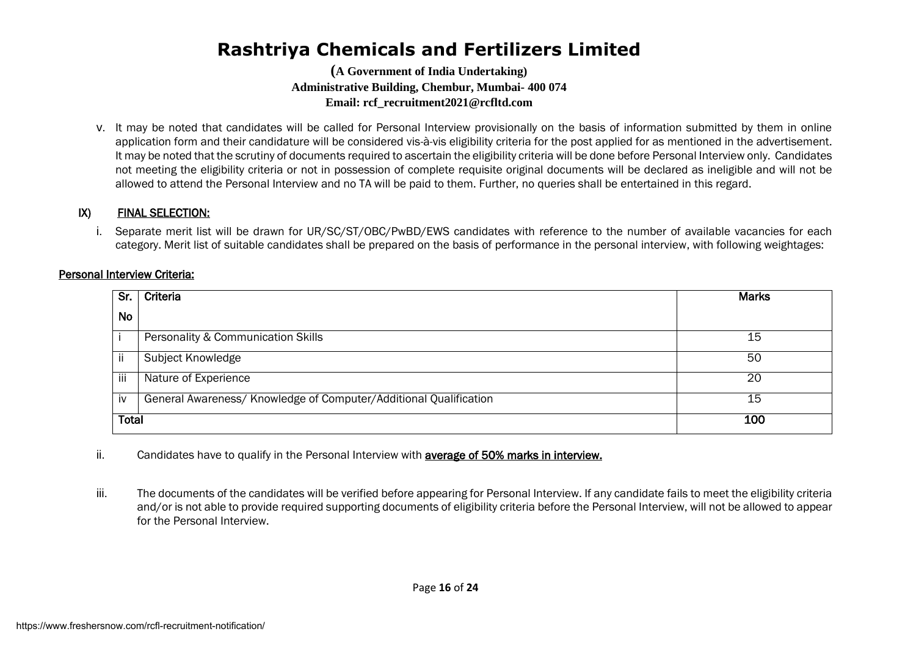**(A Government of India Undertaking) Administrative Building, Chembur, Mumbai- 400 074 Email: rcf\_recruitment2021@rcfltd.com**

v. It may be noted that candidates will be called for Personal Interview provisionally on the basis of information submitted by them in online application form and their candidature will be considered vis-à-vis eligibility criteria for the post applied for as mentioned in the advertisement. It may be noted that the scrutiny of documents required to ascertain the eligibility criteria will be done before Personal Interview only. Candidates not meeting the eligibility criteria or not in possession of complete requisite original documents will be declared as ineligible and will not be allowed to attend the Personal Interview and no TA will be paid to them. Further, no queries shall be entertained in this regard.

#### IX) FINAL SELECTION:

i. Separate merit list will be drawn for UR/SC/ST/OBC/PwBD/EWS candidates with reference to the number of available vacancies for each category. Merit list of suitable candidates shall be prepared on the basis of performance in the personal interview, with following weightages:

#### Personal Interview Criteria:

| Sr.          | Criteria                                                          | <b>Marks</b> |
|--------------|-------------------------------------------------------------------|--------------|
| No           |                                                                   |              |
|              | Personality & Communication Skills                                | 15           |
| ii           | Subject Knowledge                                                 | 50           |
| iii          | Nature of Experience                                              | 20           |
| İV           | General Awareness/ Knowledge of Computer/Additional Qualification | 15           |
| <b>Total</b> |                                                                   | 100          |

ii. Candidates have to qualify in the Personal Interview with **average of 50% marks in interview.** 

iii. The documents of the candidates will be verified before appearing for Personal Interview. If any candidate fails to meet the eligibility criteria and/or is not able to provide required supporting documents of eligibility criteria before the Personal Interview, will not be allowed to appear for the Personal Interview.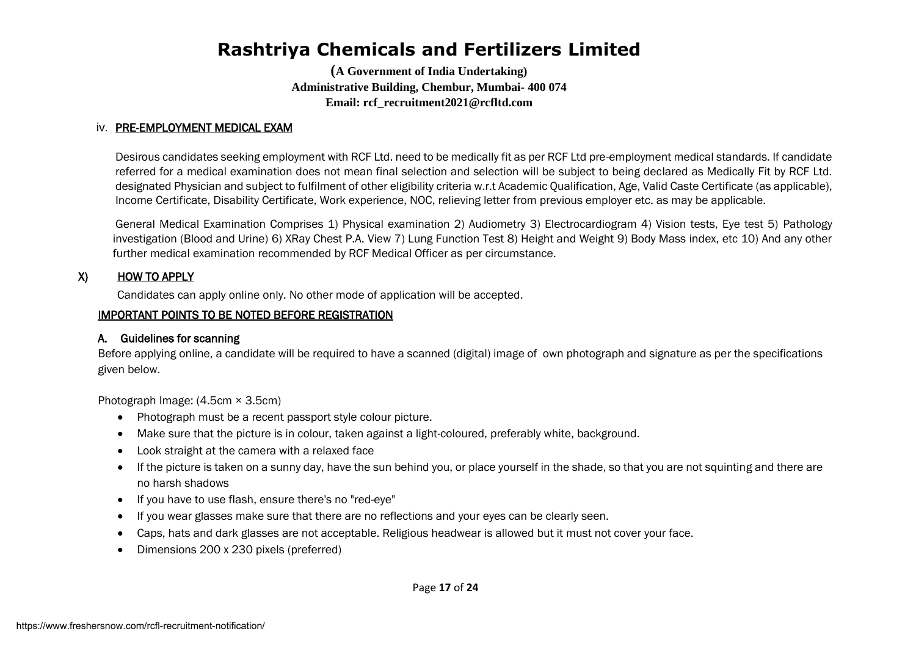**(A Government of India Undertaking) Administrative Building, Chembur, Mumbai- 400 074 Email: rcf\_recruitment2021@rcfltd.com**

#### iv. PRE-EMPLOYMENT MEDICAL EXAM

Desirous candidates seeking employment with RCF Ltd. need to be medically fit as per RCF Ltd pre-employment medical standards. If candidate referred for a medical examination does not mean final selection and selection will be subject to being declared as Medically Fit by RCF Ltd. designated Physician and subject to fulfilment of other eligibility criteria w.r.t Academic Qualification, Age, Valid Caste Certificate (as applicable), Income Certificate, Disability Certificate, Work experience, NOC, relieving letter from previous employer etc. as may be applicable.

General Medical Examination Comprises 1) Physical examination 2) Audiometry 3) Electrocardiogram 4) Vision tests, Eye test 5) Pathology investigation (Blood and Urine) 6) XRay Chest P.A. View 7) Lung Function Test 8) Height and Weight 9) Body Mass index, etc 10) And any other further medical examination recommended by RCF Medical Officer as per circumstance.

#### X) HOW TO APPLY

Candidates can apply online only. No other mode of application will be accepted.

#### IMPORTANT POINTS TO BE NOTED BEFORE REGISTRATION

#### A. Guidelines for scanning

Before applying online, a candidate will be required to have a scanned (digital) image of own photograph and signature as per the specifications given below.

Photograph Image: (4.5cm × 3.5cm)

- Photograph must be a recent passport style colour picture.
- Make sure that the picture is in colour, taken against a light-coloured, preferably white, background.
- Look straight at the camera with a relaxed face
- If the picture is taken on a sunny day, have the sun behind you, or place yourself in the shade, so that you are not squinting and there are no harsh shadows
- If you have to use flash, ensure there's no "red-eye"
- If you wear glasses make sure that there are no reflections and your eyes can be clearly seen.
- Caps, hats and dark glasses are not acceptable. Religious headwear is allowed but it must not cover your face.
- Dimensions 200 x 230 pixels (preferred)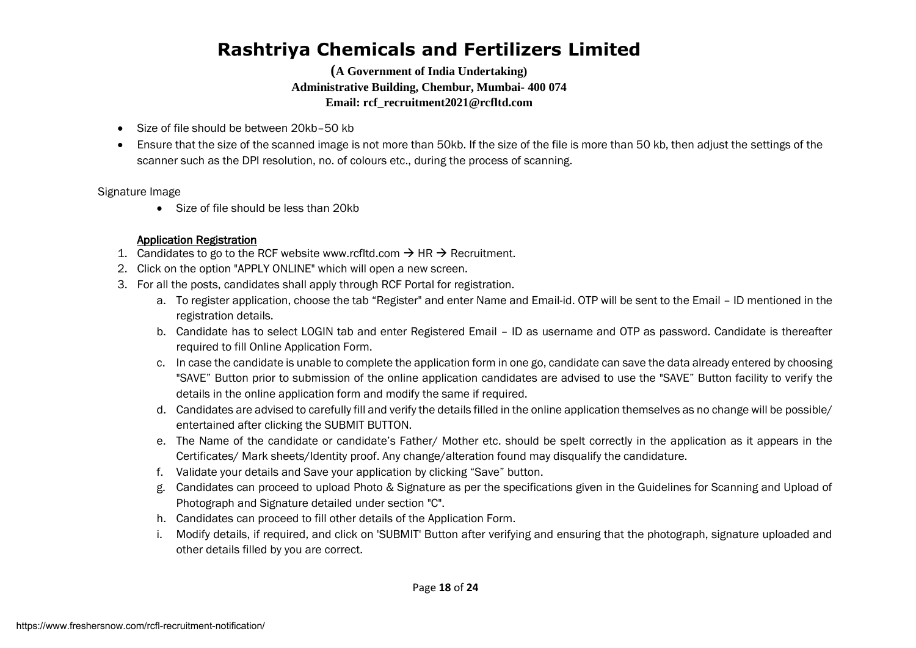**(A Government of India Undertaking) Administrative Building, Chembur, Mumbai- 400 074 Email: rcf\_recruitment2021@rcfltd.com**

- Size of file should be between 20kb–50 kb
- Ensure that the size of the scanned image is not more than 50kb. If the size of the file is more than 50 kb, then adjust the settings of the scanner such as the DPI resolution, no. of colours etc., during the process of scanning.

Signature Image

• Size of file should be less than 20kb

#### Application Registration

- 1. Candidates to go to the RCF website www.rcfltd.com  $\rightarrow$  HR  $\rightarrow$  Recruitment.
- 2. Click on the option "APPLY ONLINE" which will open a new screen.
- 3. For all the posts, candidates shall apply through RCF Portal for registration.
	- a. To register application, choose the tab "Register" and enter Name and Email-id. OTP will be sent to the Email ID mentioned in the registration details.
	- b. Candidate has to select LOGIN tab and enter Registered Email ID as username and OTP as password. Candidate is thereafter required to fill Online Application Form.
	- c. In case the candidate is unable to complete the application form in one go, candidate can save the data already entered by choosing "SAVE" Button prior to submission of the online application candidates are advised to use the "SAVE" Button facility to verify the details in the online application form and modify the same if required.
	- d. Candidates are advised to carefully fill and verify the details filled in the online application themselves as no change will be possible/ entertained after clicking the SUBMIT BUTTON.
	- e. The Name of the candidate or candidate's Father/ Mother etc. should be spelt correctly in the application as it appears in the Certificates/ Mark sheets/Identity proof. Any change/alteration found may disqualify the candidature.
	- f. Validate your details and Save your application by clicking "Save" button.
	- g. Candidates can proceed to upload Photo & Signature as per the specifications given in the Guidelines for Scanning and Upload of Photograph and Signature detailed under section "C".
	- h. Candidates can proceed to fill other details of the Application Form.
	- i. Modify details, if required, and click on 'SUBMIT' Button after verifying and ensuring that the photograph, signature uploaded and other details filled by you are correct.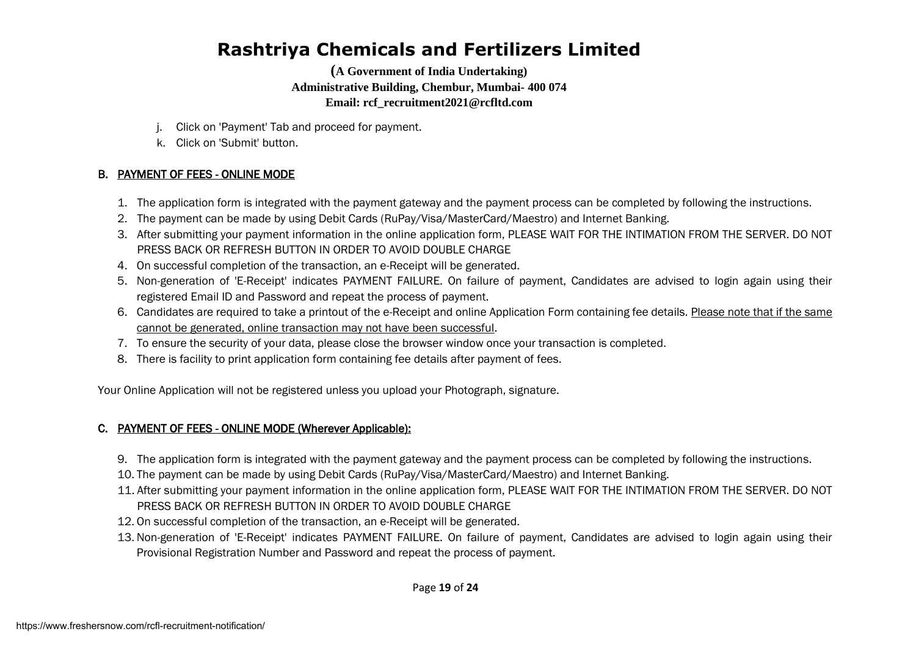**(A Government of India Undertaking) Administrative Building, Chembur, Mumbai- 400 074 Email: rcf\_recruitment2021@rcfltd.com**

- j. Click on 'Payment' Tab and proceed for payment.
- k. Click on 'Submit' button.

#### B. PAYMENT OF FEES - ONLINE MODE

- 1. The application form is integrated with the payment gateway and the payment process can be completed by following the instructions.
- 2. The payment can be made by using Debit Cards (RuPay/Visa/MasterCard/Maestro) and Internet Banking.
- 3. After submitting your payment information in the online application form, PLEASE WAIT FOR THE INTIMATION FROM THE SERVER. DO NOT PRESS BACK OR REFRESH BUTTON IN ORDER TO AVOID DOUBLE CHARGE
- 4. On successful completion of the transaction, an e-Receipt will be generated.
- 5. Non-generation of 'E-Receipt' indicates PAYMENT FAILURE. On failure of payment, Candidates are advised to login again using their registered Email ID and Password and repeat the process of payment.
- 6. Candidates are required to take a printout of the e-Receipt and online Application Form containing fee details. Please note that if the same cannot be generated, online transaction may not have been successful.
- 7. To ensure the security of your data, please close the browser window once your transaction is completed.
- 8. There is facility to print application form containing fee details after payment of fees.

Your Online Application will not be registered unless you upload your Photograph, signature.

#### C. PAYMENT OF FEES - ONLINE MODE (Wherever Applicable):

- 9. The application form is integrated with the payment gateway and the payment process can be completed by following the instructions.
- 10. The payment can be made by using Debit Cards (RuPay/Visa/MasterCard/Maestro) and Internet Banking.
- 11. After submitting your payment information in the online application form, PLEASE WAIT FOR THE INTIMATION FROM THE SERVER. DO NOT PRESS BACK OR REFRESH BUTTON IN ORDER TO AVOID DOUBLE CHARGE
- 12. On successful completion of the transaction, an e-Receipt will be generated.
- 13. Non-generation of 'E-Receipt' indicates PAYMENT FAILURE. On failure of payment, Candidates are advised to login again using their Provisional Registration Number and Password and repeat the process of payment.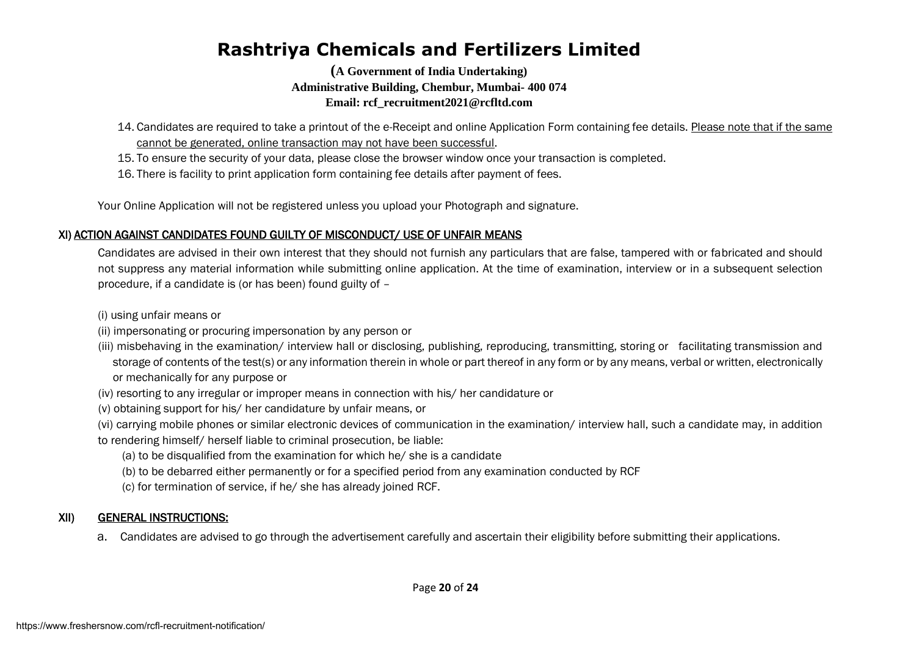**(A Government of India Undertaking) Administrative Building, Chembur, Mumbai- 400 074 Email: rcf\_recruitment2021@rcfltd.com**

- 14. Candidates are required to take a printout of the e-Receipt and online Application Form containing fee details. Please note that if the same cannot be generated, online transaction may not have been successful.
- 15. To ensure the security of your data, please close the browser window once your transaction is completed.
- 16. There is facility to print application form containing fee details after payment of fees.

Your Online Application will not be registered unless you upload your Photograph and signature.

#### XI) ACTION AGAINST CANDIDATES FOUND GUILTY OF MISCONDUCT/ USE OF UNFAIR MEANS

Candidates are advised in their own interest that they should not furnish any particulars that are false, tampered with or fabricated and should not suppress any material information while submitting online application. At the time of examination, interview or in a subsequent selection procedure, if a candidate is (or has been) found guilty of –

(i) using unfair means or

- (ii) impersonating or procuring impersonation by any person or
- (iii) misbehaving in the examination/ interview hall or disclosing, publishing, reproducing, transmitting, storing or facilitating transmission and storage of contents of the test(s) or any information therein in whole or part thereof in any form or by any means, verbal or written, electronically or mechanically for any purpose or
- (iv) resorting to any irregular or improper means in connection with his/ her candidature or
- (v) obtaining support for his/ her candidature by unfair means, or
- (vi) carrying mobile phones or similar electronic devices of communication in the examination/ interview hall, such a candidate may, in addition to rendering himself/ herself liable to criminal prosecution, be liable:
	- (a) to be disqualified from the examination for which he/ she is a candidate
	- (b) to be debarred either permanently or for a specified period from any examination conducted by RCF
	- (c) for termination of service, if he/ she has already joined RCF.

#### XII) GENERAL INSTRUCTIONS:

a. Candidates are advised to go through the advertisement carefully and ascertain their eligibility before submitting their applications.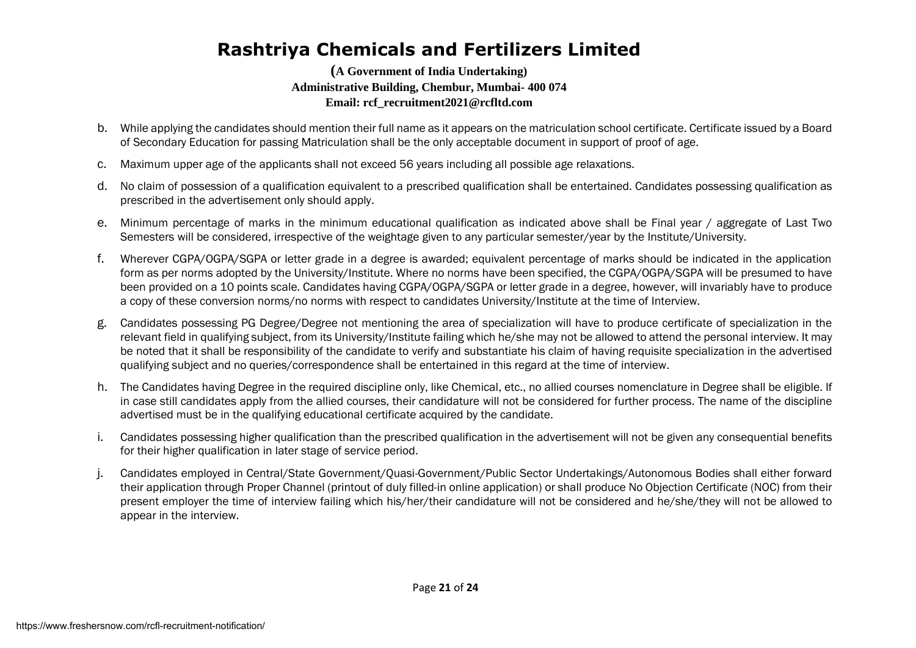- b. While applying the candidates should mention their full name as it appears on the matriculation school certificate. Certificate issued by a Board of Secondary Education for passing Matriculation shall be the only acceptable document in support of proof of age.
- c. Maximum upper age of the applicants shall not exceed 56 years including all possible age relaxations.
- d. No claim of possession of a qualification equivalent to a prescribed qualification shall be entertained. Candidates possessing qualification as prescribed in the advertisement only should apply.
- e. Minimum percentage of marks in the minimum educational qualification as indicated above shall be Final year / aggregate of Last Two Semesters will be considered, irrespective of the weightage given to any particular semester/year by the Institute/University.
- f. Wherever CGPA/OGPA/SGPA or letter grade in a degree is awarded; equivalent percentage of marks should be indicated in the application form as per norms adopted by the University/Institute. Where no norms have been specified, the CGPA/OGPA/SGPA will be presumed to have been provided on a 10 points scale. Candidates having CGPA/OGPA/SGPA or letter grade in a degree, however, will invariably have to produce a copy of these conversion norms/no norms with respect to candidates University/Institute at the time of Interview.
- g. Candidates possessing PG Degree/Degree not mentioning the area of specialization will have to produce certificate of specialization in the relevant field in qualifying subject, from its University/Institute failing which he/she may not be allowed to attend the personal interview. It may be noted that it shall be responsibility of the candidate to verify and substantiate his claim of having requisite specialization in the advertised qualifying subject and no queries/correspondence shall be entertained in this regard at the time of interview.
- h. The Candidates having Degree in the required discipline only, like Chemical, etc., no allied courses nomenclature in Degree shall be eligible. If in case still candidates apply from the allied courses, their candidature will not be considered for further process. The name of the discipline advertised must be in the qualifying educational certificate acquired by the candidate.
- i. Candidates possessing higher qualification than the prescribed qualification in the advertisement will not be given any consequential benefits for their higher qualification in later stage of service period.
- j. Candidates employed in Central/State Government/Quasi-Government/Public Sector Undertakings/Autonomous Bodies shall either forward their application through Proper Channel (printout of duly filled-in online application) or shall produce No Objection Certificate (NOC) from their present employer the time of interview failing which his/her/their candidature will not be considered and he/she/they will not be allowed to appear in the interview.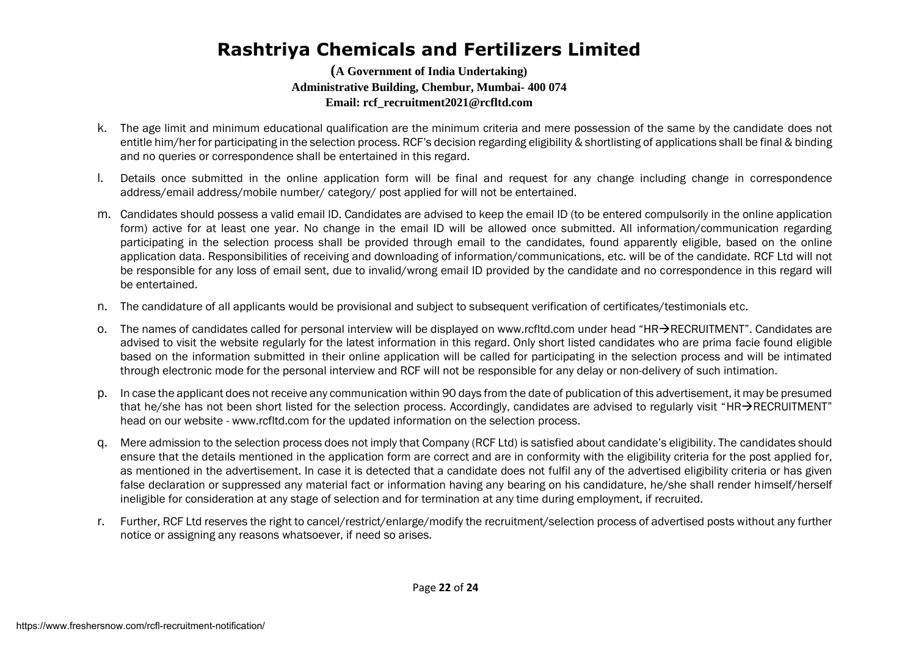- k. The age limit and minimum educational qualification are the minimum criteria and mere possession of the same by the candidate does not entitle him/her for participating in the selection process. RCF's decision regarding eligibility & shortlisting of applications shall be final & binding and no queries or correspondence shall be entertained in this regard.
- l. Details once submitted in the online application form will be final and request for any change including change in correspondence address/email address/mobile number/ category/ post applied for will not be entertained.
- m. Candidates should possess a valid email ID. Candidates are advised to keep the email ID (to be entered compulsorily in the online application form) active for at least one year. No change in the email ID will be allowed once submitted. All information/communication regarding participating in the selection process shall be provided through email to the candidates, found apparently eligible, based on the online application data. Responsibilities of receiving and downloading of information/communications, etc. will be of the candidate. RCF Ltd will not be responsible for any loss of email sent, due to invalid/wrong email ID provided by the candidate and no correspondence in this regard will be entertained.
- n. The candidature of all applicants would be provisional and subject to subsequent verification of certificates/testimonials etc.
- o. The names of candidates called for personal interview will be displayed on www.rcfltd.com under head "HR $\rightarrow$ RECRUITMENT". Candidates are advised to visit the website regularly for the latest information in this regard. Only short listed candidates who are prima facie found eligible based on the information submitted in their online application will be called for participating in the selection process and will be intimated through electronic mode for the personal interview and RCF will not be responsible for any delay or non-delivery of such intimation.
- p. In case the applicant does not receive any communication within 90 days from the date of publication of this advertisement, it may be presumed that he/she has not been short listed for the selection process. Accordingly, candidates are advised to regularly visit "HR $\rightarrow$ RECRUITMENT" head on our website - www.rcfltd.com for the updated information on the selection process.
- q. Mere admission to the selection process does not imply that Company (RCF Ltd) is satisfied about candidate's eligibility. The candidates should ensure that the details mentioned in the application form are correct and are in conformity with the eligibility criteria for the post applied for, as mentioned in the advertisement. In case it is detected that a candidate does not fulfil any of the advertised eligibility criteria or has given false declaration or suppressed any material fact or information having any bearing on his candidature, he/she shall render himself/herself ineligible for consideration at any stage of selection and for termination at any time during employment, if recruited.
- r. Further, RCF Ltd reserves the right to cancel/restrict/enlarge/modify the recruitment/selection process of advertised posts without any further notice or assigning any reasons whatsoever, if need so arises.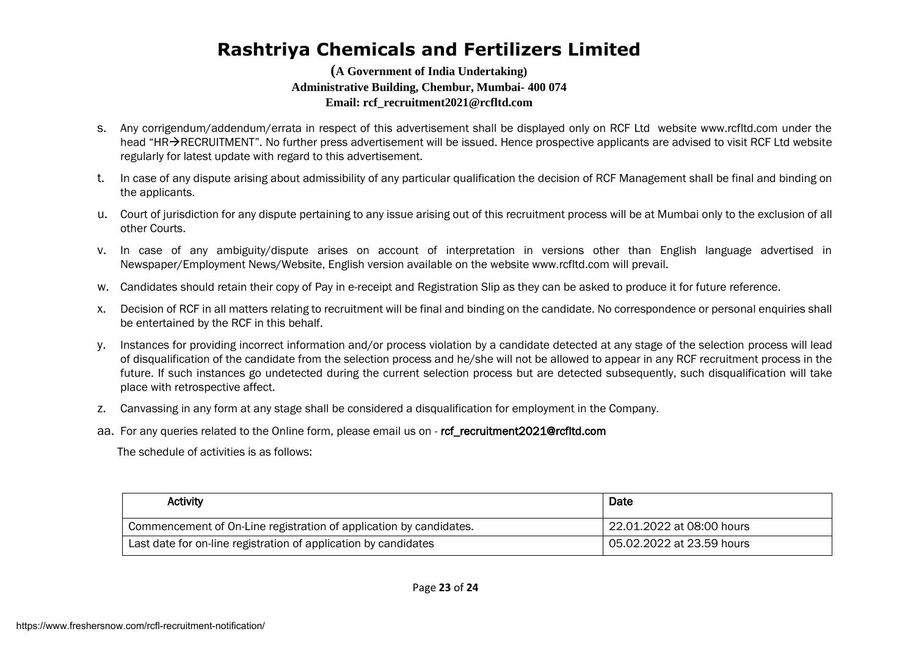#### **(A Government of India Undertaking) Administrative Building, Chembur, Mumbai- 400 074 Email: rcf\_recruitment2021@rcfltd.com**

- s. Any corrigendum/addendum/errata in respect of this advertisement shall be displayed only on RCF Ltd website www.rcfltd.com under the head "HR $\rightarrow$ RECRUITMENT". No further press advertisement will be issued. Hence prospective applicants are advised to visit RCF Ltd website regularly for latest update with regard to this advertisement.
- t. In case of any dispute arising about admissibility of any particular qualification the decision of RCF Management shall be final and binding on the applicants.
- u. Court of jurisdiction for any dispute pertaining to any issue arising out of this recruitment process will be at Mumbai only to the exclusion of all other Courts.
- v. In case of any ambiguity/dispute arises on account of interpretation in versions other than English language advertised in Newspaper/Employment News/Website, English version available on the website www.rcfltd.com will prevail.
- w. Candidates should retain their copy of Pay in e-receipt and Registration Slip as they can be asked to produce it for future reference.
- x. Decision of RCF in all matters relating to recruitment will be final and binding on the candidate. No correspondence or personal enquiries shall be entertained by the RCF in this behalf.
- y. Instances for providing incorrect information and/or process violation by a candidate detected at any stage of the selection process will lead of disqualification of the candidate from the selection process and he/she will not be allowed to appear in any RCF recruitment process in the future. If such instances go undetected during the current selection process but are detected subsequently, such disqualification will take place with retrospective affect.
- z. Canvassing in any form at any stage shall be considered a disqualification for employment in the Company.
- aa. For any queries related to the Online form, please email us on ref recruitment2021@rcfltd.com

The schedule of activities is as follows:

| Activity                                                           | Date                      |
|--------------------------------------------------------------------|---------------------------|
| Commencement of On-Line registration of application by candidates. | 22.01.2022 at 08:00 hours |
| Last date for on-line registration of application by candidates    | 05.02.2022 at 23.59 hours |